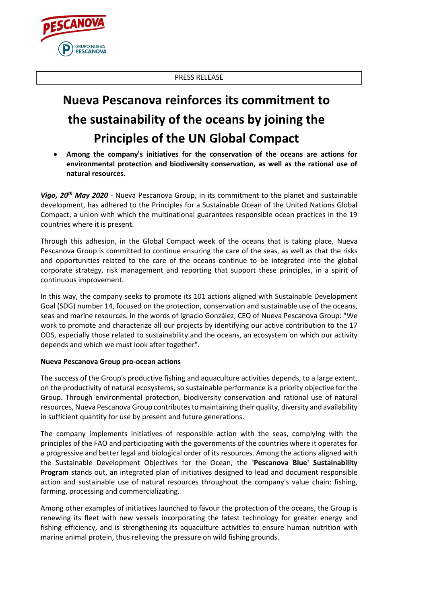PRESS RELEASE



## **Nueva Pescanova reinforces its commitment to the sustainability of the oceans by joining the Principles of the UN Global Compact**

• **Among the company's initiatives for the conservation of the oceans are actions for environmental protection and biodiversity conservation, as well as the rational use of natural resources.**

*Vigo, 20th May 2020* - Nueva Pescanova Group, in its commitment to the planet and sustainable development, has adhered to the Principles for a Sustainable Ocean of the United Nations Global Compact, a union with which the multinational guarantees responsible ocean practices in the 19 countries where it is present.

Through this adhesion, in the Global Compact week of the oceans that is taking place, Nueva Pescanova Group is committed to continue ensuring the care of the seas, as well as that the risks and opportunities related to the care of the oceans continue to be integrated into the global corporate strategy, risk management and reporting that support these principles, in a spirit of continuous improvement.

In this way, the company seeks to promote its 101 actions aligned with Sustainable Development Goal (SDG) number 14, focused on the protection, conservation and sustainable use of the oceans, seas and marine resources. In the words of Ignacio González, CEO of Nueva Pescanova Group: "We work to promote and characterize all our projects by identifying our active contribution to the 17 ODS, especially those related to sustainability and the oceans, an ecosystem on which our activity depends and which we must look after together".

## **Nueva Pescanova Group pro-ocean actions**

The success of the Group's productive fishing and aquaculture activities depends, to a large extent, on the productivity of natural ecosystems, so sustainable performance is a priority objective for the Group. Through environmental protection, biodiversity conservation and rational use of natural resources, Nueva Pescanova Group contributes to maintaining their quality, diversity and availability in sufficient quantity for use by present and future generations.

The company implements initiatives of responsible action with the seas, complying with the principles of the FAO and participating with the governments of the countries where it operates for a progressive and better legal and biological order of its resources. Among the actions aligned with the Sustainable Development Objectives for the Ocean, the **'Pescanova Blue' Sustainability Program** stands out, an integrated plan of initiatives designed to lead and document responsible action and sustainable use of natural resources throughout the company's value chain: fishing, farming, processing and commercializating.

Among other examples of initiatives launched to favour the protection of the oceans, the Group is renewing its fleet with new vessels incorporating the latest technology for greater energy and fishing efficiency, and is strengthening its aquaculture activities to ensure human nutrition with marine animal protein, thus relieving the pressure on wild fishing grounds.